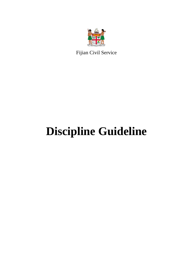

Fijian Civil Service

# **Discipline Guideline**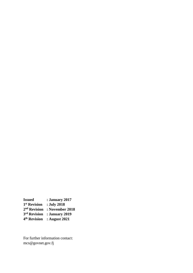**Issued : January 2017 st Revision : July 2018 nd Revision : November 2018 rd Revision : January 2019 th Revision : August 2021**

For further information contact: mcs@govnet.gov.fj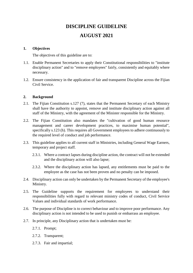# **DISCIPLINE GUIDELINE AUGUST 2021**

# **1. Objectives**

The objectives of this guideline are to:

- 1.1. Enable Permanent Secretaries to apply their Constitutional responsibilities to "institute disciplinary action" and to "remove employees" fairly, consistently and equitably where necessary.
- 1.2. Ensure consistency in the application of fair and transparent Discipline across the Fijian Civil Service.

#### **2. Background**

- 2.1. The Fijian Constitution s.127 (7), states that the Permanent Secretary of each Ministry shall have the authority to appoint, remove and institute disciplinary action against all staff of the Ministry, with the agreement of the Minister responsible for the Ministry.
- 2.2. The Fijian Constitution also mandates the "cultivation of good human resource management and career development practices, to maximise human potential", specifically s.123 (h). This requires all Government employees to adhere continuously to the required level of conduct and job performance.
- 2.3. This guideline applies to all current staff in Ministries, including General Wage Earners, temporary and project staff.
	- 2.3.1. Where a contract lapses during discipline action, the contract will not be extended and the disciplinary action will also lapse;
	- 2.3.2. Where the disciplinary action has lapsed, any entitlements must be paid to the employee as the case has not been proven and no penalty can be imposed.
- 2.4. Disciplinary action can only be undertaken by the Permanent Secretary of the employee's Ministry.
- 2.5. The Guideline supports the requirement for employees to understand their responsibilities fully with regard to relevant ministry codes of conduct, Civil Service Values and individual standards of work performance.
- 2.6. The purpose of Discipline is to correct behaviour and to improve poor performance. Any disciplinary action is not intended to be used to punish or embarrass an employee.
- 2.7. In principle, any Disciplinary action that is undertaken must be:
	- 2.7.1. Prompt;
	- 2.7.2. Transparent;
	- 2.7.3. Fair and impartial;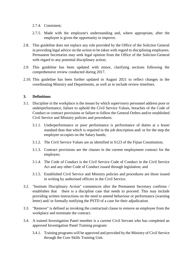# 2.7.4. Consistent;

- 2.7.5. Made with the employee's understanding and, where appropriate, after the employee is given the opportunity to improve.
- 2.8. This guideline does not replace any role provided by the Office of the Solicitor General in providing legal advice on the action to be taken with regard to disciplining employees. Permanent Secretaries may seek legal opinion from the Office of the Solicitor-General with regard to any potential disciplinary action;
- 2.9. This guideline has been updated with minor, clarifying sections following the comprehensive review conducted during 2017.
- 2.10. This guideline has been further updated in August 2021 to reflect changes in the coordinating Ministry and Departments, as well as to include review timelines.

# **3. Definitions**

- 3.1. Discipline in the workplace is the means by which supervisory personnel address poor or underperformance, failure to uphold the Civil Service Values, breaches of the Code of Conduct or contract provisions or failure to follow the General Orders and/or established Civil Service and Ministry policies and procedures.
	- 3.1.1. Underperformance or poor performance is performance of duties at a lesser standard than that which is required in the job description and/ or for the step the employee occupies on the Salary bands;
	- 3.1.2. The Civil Service Values are as identified in S123 of the Fijian Constitution;
	- 3.1.3. Contract provisions are the clauses in the current employment contract for the employee;
	- 3.1.4. The Code of Conduct is the Civil Service Code of Conduct in the Civil Service Act and any other Code of Conduct issued through legislation; and
	- 3.1.5. Established Civil Service and Ministry policies and procedures are those issued in writing by authorised officers in the Civil Service.
- 3.2. "Institute Disciplinary Action" commences after the Permanent Secretary confirms / establishes that there is a discipline case that needs to proceed. This may include providing written instructions on the need to amend behaviour or performance (warning letter) and/ or formally notifying the PSTD of a case for their adjudication.
- 3.3. "Remove" is defined as invoking the contractual clause to remove an employee from the workplace and terminate the contract.
- 3.4. A trained Investigation Panel member is a current Civil Servant who has completed an approved Investigation Panel Training program:
	- 3.4.1. Training programs will be approved and provided by the Ministry of Civil Service through the Core Skills Training Unit.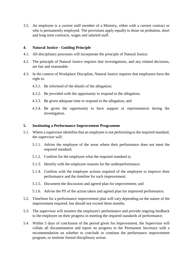3.5. An employee is a current staff member of a Ministry, either with a current contract or who is permanently employed. The provisions apply equally to those on probation, short and long term contracts, wages and salaried staff.

# **4. Natural Justice - Guiding Principle**

- 4.1. All disciplinary processes will incorporate the principle of Natural Justice.
- 4.2. The principle of Natural Justice requires that investigations, and any related decisions, are fair and reasonable.
- 4.3. In the context of Workplace Discipline, Natural Justice requires that employees have the right to:
	- 4.3.1. Be informed of the details of the allegation;
	- 4.3.2. Be provided with the opportunity to respond to the allegation;
	- 4.3.3. Be given adequate time to respond to the allegation; and
	- 4.3.4. Be given the opportunity to have support or representation during the investigation.

#### **5. Instituting a Performance Improvement Programme**

- 5.1. Where a supervisor identifies that an employee is not performing to the required standard, the supervisor will:
	- 5.1.1. Advise the employee of the areas where their performance does not meet the required standard;
	- 5.1.2. Confirm for the employee what the required standard is;
	- 5.1.3. Identify with the employee reasons for the underperformance;
	- 5.1.4. Confirm with the employee actions required of the employee to improve their performance and the timeline for such improvement;
	- 5.1.5. Document the discussion and agreed plan for improvement; and
	- 5.1.6. Advise the PS of the action taken and agreed plan for improved performance.
- 5.2. Timelines for a performance improvement plan will vary depending on the nature of the improvement required, but should not exceed three months.
- 5.3. The supervisor will monitor the employee's performance and provide ongoing feedback to the employee on their progress in meeting the required standards of performance.
- 5.4. Within 5 days of conclusion of the period given for improvement, the Supervisor will collate all documentation and report on progress to the Permanent Secretary with a recommendation on whether to conclude or continue the performance improvement program, or institute formal disciplinary action.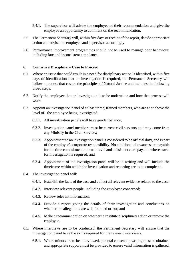- 5.4.1. The supervisor will advise the employee of their recommendation and give the employee an opportunity to comment on the recommendation.
- 5.5. The Permanent Secretary will, within five days of receipt of the report, decide appropriate action and advise the employee and supervisor accordingly.
- 5.6. Performance improvement programmes should not be used to manage poor behaviour, including late and inconsistent attendance.

# **6. Confirm a Disciplinary Case to Proceed**

- 6.1. Where an issue that could result in a need for disciplinary action is identified, within five days of identification that an investigation is required, the Permanent Secretary will follow a process that covers the principles of Natural Justice and includes the following broad steps:
- 6.2. Notify the employee that an investigation is to be undertaken and how that process will work.
- 6.3. Appoint an investigation panel of at least three, trained members, who are at or above the level of the employee being investigated:
	- 6.3.1. All investigation panels will have gender balance;
	- 6.3.2. Investigation panel members must be current civil servants and may come from any Ministry in the Civil Service.;
	- 6.3.3. Appointment to an investigation panel is considered to be official duty, and is part of the employee's corporate responsibility. No additional allowances are payable for the time commitment, normal travel and subsistence are payable where travel for investigation is required; and
	- 6.3.4. Appointment of the investigation panel will be in writing and will include the timeframe within which the investigation and reporting are to be completed.
- 6.4. The investigation panel will:
	- 6.4.1. Establish the facts of the case and collect all relevant evidence related to the case;
	- 6.4.2. Interview relevant people, including the employee concerned;
	- 6.4.3. Review relevant information;
	- 6.4.4. Provide a report giving the details of their investigation and conclusions on whether the allegations are well founded or not; and
	- 6.4.5. Make a recommendation on whether to institute disciplinary action or remove the employee.
- 6.5. Where interviews are to be conducted, the Permanent Secretary wilt ensure that the investigation panel have the skills required for the relevant interviews.
	- 6.5.1. Where minors are to be interviewed, parental consent, in writing must be obtained and appropriate support must be provided to ensure valid information is gathered.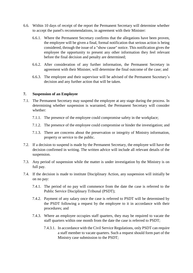- 6.6. Within 10 days of receipt of the report the Permanent Secretary will determine whether to accept the panel's recommendations, in agreement with their Minister:
	- 6.6.1. Where the Permanent Secretary confirms that the allegations have been proven, the employee will be given a final, formal notification that serious action is being considered, through the issue of a "show cause" notice. This notification gives the employee the opportunity to present any other information they feel relevant before the final decision and penalty are determined;
	- 6.6.2. After consideration of any further information, the Permanent Secretary in agreement with their Minister, will determine the final outcome of the case; and
	- 6.6.3. The employee and their supervisor will be advised of the Permanent Secretary's decision and any further action that will be taken.

#### **7. Suspension of an Employee**

- 7.1. The Permanent Secretary may suspend the employee at any stage during the process. In determining whether suspension is warranted, the Permanent Secretary will consider whether:
	- 7.1.1. The presence of the employee could compromise safety in the workplace;
	- 7.1.2. The presence of the employee could compromise or hinder the investigation; and
	- 7.1.3. There are concerns about the preservation or integrity of Ministry information, property or service to the public.
- 7.2. If a decision to suspend is made by the Permanent Secretary, the employee will have the decision confirmed in writing. The written advice will include all relevant details of the suspension.
- 7.3. Any period of suspension while the matter is under investigation by the Ministry is on full pay.
- 7.4. If the decision is made to institute Disciplinary Action, any suspension will initially be on no pay:
	- 7.4.1. The period of no pay will commence from the date the case is referred to the Public Service Disciplinary Tribunal (PSDT);
	- 7.4.2. Payment of any salary once the case is referred to PSDT will be determined by the PSDT following a request by the employee to it in accordance with their procedures; and
	- 7.4.3. Where an employee occupies staff quarters, they may be required to vacate the staff quarters within one month from the date the case is referred to PSDT;
		- 7.4.3.1. In accordance with the Civil Service Regulations, only PSDT can require a staff member to vacate quarters. Such a request should form part of the Ministry case submission to the PSDT;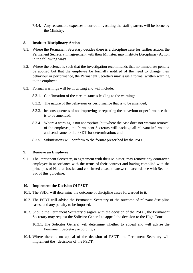7.4.4. Any reasonable expenses incurred in vacating the staff quarters will be borne by the Ministry.

# **8. Institute Disciplinary Action**

- 8.1. Where the Permanent Secretary decides there is a discipline case for further action, the Permanent Secretary, in agreement with their Minister, may institute Disciplinary Action in the following ways.
- 8.2. Where the offence is such that the investigation recommends that no immediate penalty be applied but that the employee be formally notified of the need to change their behaviour or performance, the Permanent Secretary may issue a formal written warning to the employee.
- 8.3. Formal warnings will be in writing and will include:
	- 8.3.1. Confirmation of the circumstances leading to the warning;
	- 8.3.2. The nature of the behaviour or performance that is to be amended;
	- 8.3.3. he consequences of not improving or repeating the behaviour or performance that is to be amended;
	- 8.3.4. Where a warning is not appropriate, but where the case does not warrant removal of the employee, the Permanent Secretary will package all relevant information and send same to the PSDT for determination; and
	- 8.3.5. Submissions will conform to the format prescribed by the PSDT.

#### **9. Remove an Employee**

9.1. The Permanent Secretary, in agreement with their Minister, may remove any contracted employee in accordance with the terms of their contract and having complied with the principles of Natural Justice and confirmed a case to answer in accordance with Section Six of this guideline.

# **10. Implement the Decision Of PSDT**

- 10.1. The PSDT will determine the outcome of discipline cases forwarded to it.
- 10.2. The PSDT will advise the Permanent Secretary of the outcome of relevant discipline cases, and any penalty to be imposed.
- 10.3. Should the Permanent Secretary disagree with the decision of the PSDT, the Permanent Secretary may request the Solicitor General to appeal the decision to the High Court:
	- 10.3.1. The Solicitor General will determine whether to appeal and will advise the Permanent Secretary accordingly.
- 10.4. Where there is no appeal of the decision of PSDT, the Permanent Secretary will implement the decisions of the PSDT.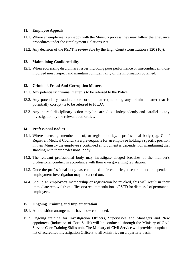# **11. Employee Appeals**

- 11.1. Where an employee is unhappy with the Ministry process they may follow the grievance procedures under the Employment Relations Act.
- 11.2. Any decision of the PSDT is reviewable by the High Court (Constitution s.120 (10)).

# **12. Maintaining Confidentiality**

12.1. When addressing disciplinary issues including poor performance or misconduct all those involved must respect and maintain confidentiality of the information obtained.

# **13. Criminal, Fraud And Corruption Matters**

- 13.1. Any potentially criminal matter is to be referred to the Police.
- 13.2. Any potentially fraudulent or corrupt matter (including any criminal matter that is potentially corrupt) is to be referred to FICAC.
- 13.3. Any internal disciplinary action may be carried out independently and parallel to any investigation by the relevant authorities.

# **14. Professional Bodies**

- 14.1. Where licensing, membership of, or registration by, a professional body (e.g. Chief Registrar, Medical Council) is a pre-requisite for an employee holding a specific position in their Ministry the employee's continued employment is dependent on maintaining that standing with their professional body.
- 14.2. The relevant professional body may investigate alleged breaches of the member's professional conduct in accordance with their own governing legislation.
- 14.3. Once the professional body has completed their enquiries, a separate and independent employment investigation may be carried out.
- 14.4. Should an employee's membership or registration be revoked, this will result in their immediate removal from office or a recommendation to PSTD for dismissal of permanent employees.

# **15. Ongoing Training and Implementation**

- 15.1. All transition arrangements have now concluded.
- 15.2. Ongoing training for Investigation Officers, Supervisors and Managers and New appointees (Induction of Core Skills) will be conducted through the Ministry of Civil Service Core Training Skills unit. The Ministry of Civil Service will provide an updated list of accredited Investigation Officers to all Ministries on a quarterly basis.